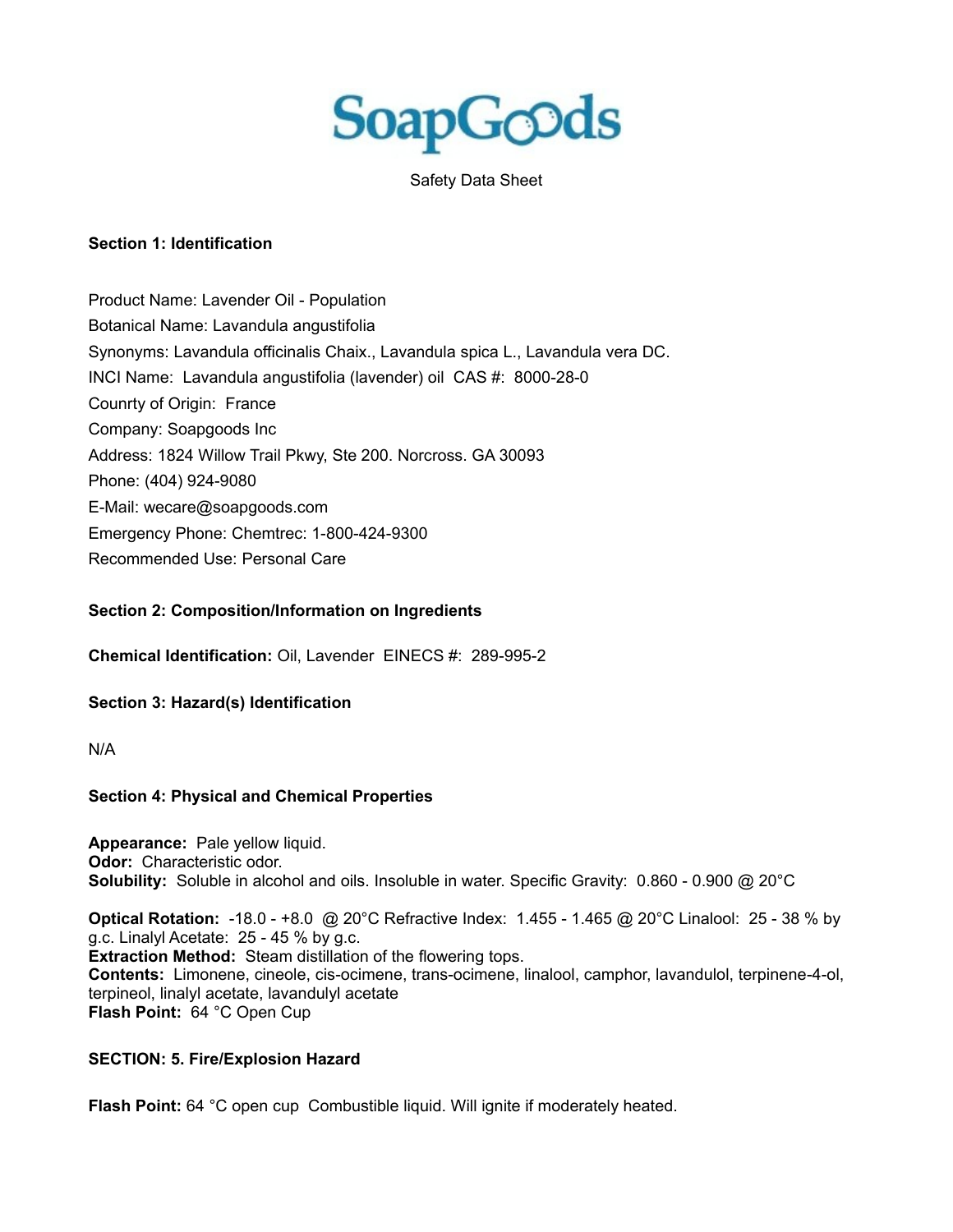

Safety Data Sheet

### **Section 1: Identification**

Product Name: Lavender Oil - Population Botanical Name: Lavandula angustifolia Synonyms: Lavandula officinalis Chaix., Lavandula spica L., Lavandula vera DC. INCI Name: Lavandula angustifolia (lavender) oil CAS #: 8000-28-0 Counrty of Origin: France Company: Soapgoods Inc Address: 1824 Willow Trail Pkwy, Ste 200. Norcross. GA 30093 Phone: (404) 924-9080 E-Mail: wecare@soapgoods.com Emergency Phone: Chemtrec: 1-800-424-9300 Recommended Use: Personal Care

#### **Section 2: Composition/Information on Ingredients**

**Chemical Identification:** Oil, Lavender EINECS #: 289-995-2

#### **Section 3: Hazard(s) Identification**

N/A

#### **Section 4: Physical and Chemical Properties**

**Appearance:** Pale yellow liquid. **Odor:** Characteristic odor. **Solubility:** Soluble in alcohol and oils. Insoluble in water. Specific Gravity: 0.860 - 0.900 @ 20°C

**Optical Rotation:** -18.0 - +8.0 @ 20°C Refractive Index: 1.455 - 1.465 @ 20°C Linalool: 25 - 38 % by g.c. Linalyl Acetate: 25 - 45 % by g.c. **Extraction Method:** Steam distillation of the flowering tops. **Contents:** Limonene, cineole, cis-ocimene, trans-ocimene, linalool, camphor, lavandulol, terpinene-4-ol, terpineol, linalyl acetate, lavandulyl acetate

**Flash Point:** 64 °C Open Cup

### **SECTION: 5. Fire/Explosion Hazard**

**Flash Point:** 64 °C open cup Combustible liquid. Will ignite if moderately heated.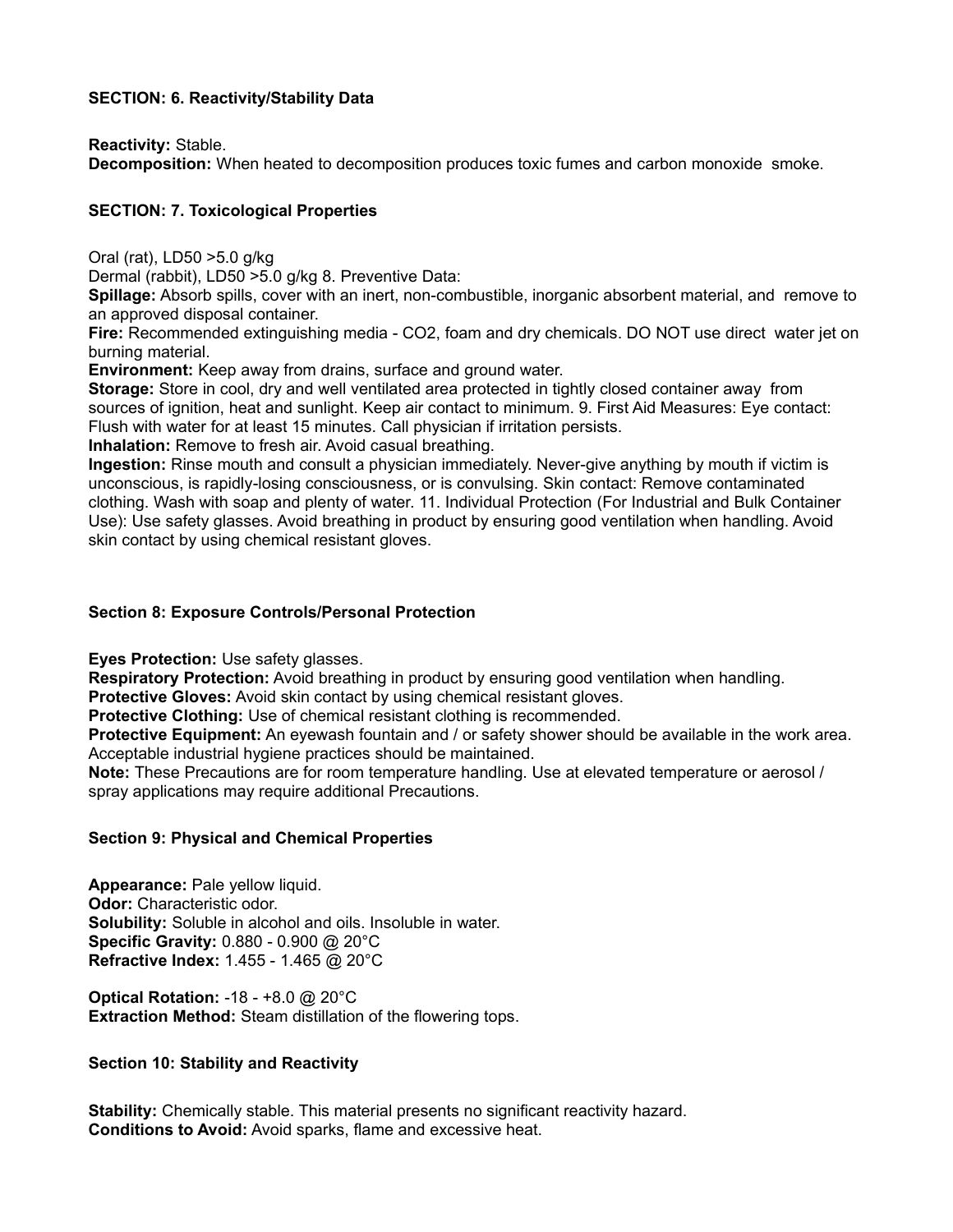### **SECTION: 6. Reactivity/Stability Data**

**Reactivity:** Stable.

**Decomposition:** When heated to decomposition produces toxic fumes and carbon monoxide smoke.

# **SECTION: 7. Toxicological Properties**

Oral (rat), LD50 >5.0 g/kg

Dermal (rabbit), LD50 >5.0 g/kg 8. Preventive Data:

**Spillage:** Absorb spills, cover with an inert, non-combustible, inorganic absorbent material, and remove to an approved disposal container.

**Fire:** Recommended extinguishing media - CO2, foam and dry chemicals. DO NOT use direct water jet on burning material.

**Environment:** Keep away from drains, surface and ground water.

**Storage:** Store in cool, dry and well ventilated area protected in tightly closed container away from sources of ignition, heat and sunlight. Keep air contact to minimum. 9. First Aid Measures: Eye contact: Flush with water for at least 15 minutes. Call physician if irritation persists.

**Inhalation:** Remove to fresh air. Avoid casual breathing.

**Ingestion:** Rinse mouth and consult a physician immediately. Never-give anything by mouth if victim is unconscious, is rapidly-losing consciousness, or is convulsing. Skin contact: Remove contaminated clothing. Wash with soap and plenty of water. 11. Individual Protection (For Industrial and Bulk Container Use): Use safety glasses. Avoid breathing in product by ensuring good ventilation when handling. Avoid skin contact by using chemical resistant gloves.

### **Section 8: Exposure Controls/Personal Protection**

**Eyes Protection:** Use safety glasses.

**Respiratory Protection:** Avoid breathing in product by ensuring good ventilation when handling.

**Protective Gloves:** Avoid skin contact by using chemical resistant gloves.

**Protective Clothing:** Use of chemical resistant clothing is recommended.

**Protective Equipment:** An eyewash fountain and / or safety shower should be available in the work area. Acceptable industrial hygiene practices should be maintained.

**Note:** These Precautions are for room temperature handling. Use at elevated temperature or aerosol / spray applications may require additional Precautions.

## **Section 9: Physical and Chemical Properties**

**Appearance:** Pale yellow liquid. **Odor:** Characteristic odor. **Solubility:** Soluble in alcohol and oils. Insoluble in water. **Specific Gravity:** 0.880 - 0.900 @ 20°C **Refractive Index:** 1.455 - 1.465 @ 20°C

**Optical Rotation:** -18 - +8.0 @ 20°C **Extraction Method:** Steam distillation of the flowering tops.

## **Section 10: Stability and Reactivity**

**Stability:** Chemically stable. This material presents no significant reactivity hazard. **Conditions to Avoid:** Avoid sparks, flame and excessive heat.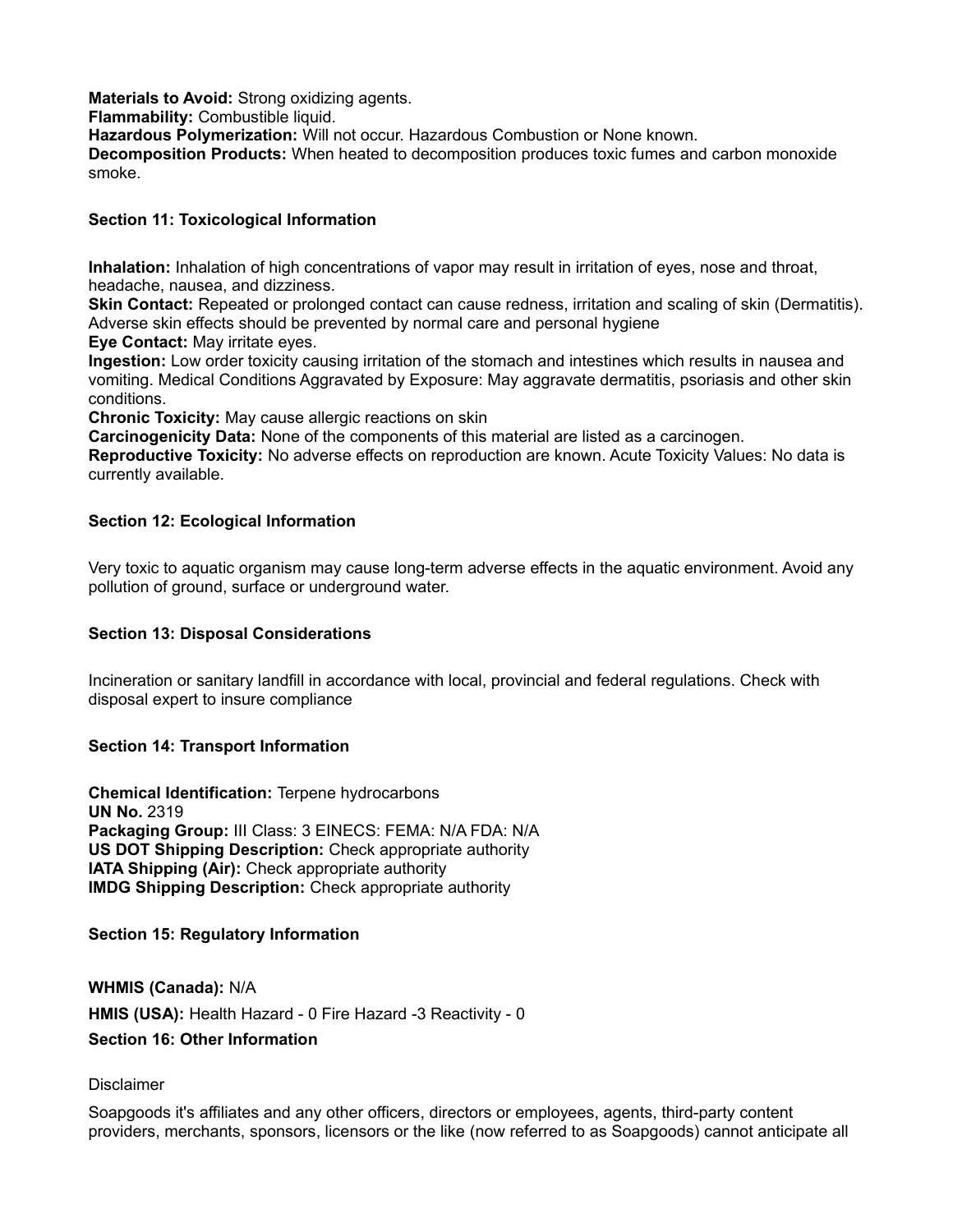**Materials to Avoid:** Strong oxidizing agents. **Flammability:** Combustible liquid. **Hazardous Polymerization:** Will not occur. Hazardous Combustion or None known. **Decomposition Products:** When heated to decomposition produces toxic fumes and carbon monoxide smoke.

### **Section 11: Toxicological Information**

**Inhalation:** Inhalation of high concentrations of vapor may result in irritation of eyes, nose and throat, headache, nausea, and dizziness.

**Skin Contact:** Repeated or prolonged contact can cause redness, irritation and scaling of skin (Dermatitis). Adverse skin effects should be prevented by normal care and personal hygiene

**Eye Contact:** May irritate eyes.

**Ingestion:** Low order toxicity causing irritation of the stomach and intestines which results in nausea and vomiting. Medical Conditions Aggravated by Exposure: May aggravate dermatitis, psoriasis and other skin conditions.

**Chronic Toxicity:** May cause allergic reactions on skin

**Carcinogenicity Data:** None of the components of this material are listed as a carcinogen.

**Reproductive Toxicity:** No adverse effects on reproduction are known. Acute Toxicity Values: No data is currently available.

### **Section 12: Ecological Information**

Very toxic to aquatic organism may cause long-term adverse effects in the aquatic environment. Avoid any pollution of ground, surface or underground water.

### **Section 13: Disposal Considerations**

Incineration or sanitary landfill in accordance with local, provincial and federal regulations. Check with disposal expert to insure compliance

### **Section 14: Transport Information**

**Chemical Identification:** Terpene hydrocarbons **UN No.** 2319 **Packaging Group:** III Class: 3 EINECS: FEMA: N/A FDA: N/A **US DOT Shipping Description:** Check appropriate authority **IATA Shipping (Air):** Check appropriate authority **IMDG Shipping Description:** Check appropriate authority

### **Section 15: Regulatory Information**

**WHMIS (Canada):** N/A **HMIS (USA):** Health Hazard - 0 Fire Hazard -3 Reactivity - 0 **Section 16: Other Information**

### Disclaimer

Soapgoods it's affiliates and any other officers, directors or employees, agents, third-party content providers, merchants, sponsors, licensors or the like (now referred to as Soapgoods) cannot anticipate all